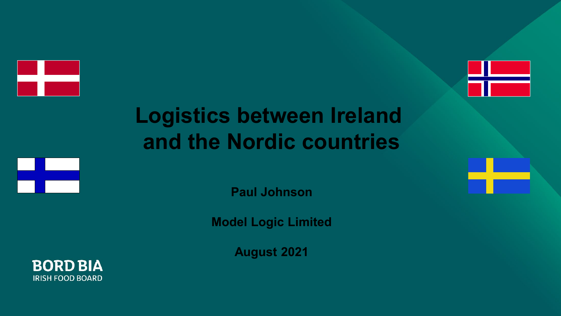



# **Logistics between Ireland and the Nordic countries**



**Paul Johnson**

**Model Logic Limited**

**August 2021**

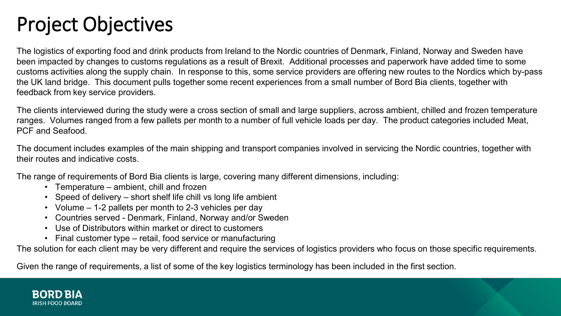## Project Objectives

The logistics of exporting food and drink products from Ireland to the Nordic countries of Denmark, Finland, Norway and Sweden have been impacted by changes to customs regulations as a result of Brexit. Additional processes and paperwork have added time to some customs activities along the supply chain. In response to this, some service providers are offering new routes to the Nordics which by-pass the UK land bridge. This document pulls together some recent experiences from a small number of Bord Bia clients, together with feedback from key service providers.

The clients interviewed during the study were a cross section of small and large suppliers, across ambient, chilled and frozen temperature ranges. Volumes ranged from a few pallets per month to a number of full vehicle loads per day. The product categories included Meat, PCF and Seafood.

The document includes examples of the main shipping and transport companies involved in servicing the Nordic countries, together with their routes and indicative costs.

The range of requirements of Bord Bia clients is large, covering many different dimensions, including:

- Temperature ambient, chill and frozen
- Speed of delivery short shelf life chill vs long life ambient
- Volume 1-2 pallets per month to 2-3 vehicles per day
- Countries served Denmark, Finland, Norway and/or Sweden
- Use of Distributors within market or direct to customers
- Final customer type retail, food service or manufacturing

The solution for each client may be very different and require the services of logistics providers who focus on those specific requirements.

Given the range of requirements, a list of some of the key logistics terminology has been included in the first section.

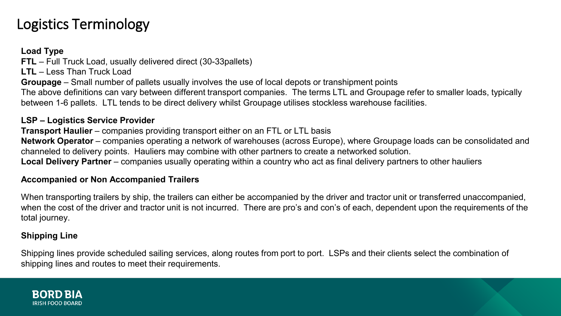### Logistics Terminology

#### **Load Type**

**FTL** – Full Truck Load, usually delivered direct (30-33pallets)

**LTL** – Less Than Truck Load

**Groupage** – Small number of pallets usually involves the use of local depots or transhipment points

The above definitions can vary between different transport companies. The terms LTL and Groupage refer to smaller loads, typically between 1-6 pallets. LTL tends to be direct delivery whilst Groupage utilises stockless warehouse facilities.

#### **LSP – Logistics Service Provider**

**Transport Haulier** – companies providing transport either on an FTL or LTL basis

**Network Operator** – companies operating a network of warehouses (across Europe), where Groupage loads can be consolidated and channeled to delivery points. Hauliers may combine with other partners to create a networked solution.

**Local Delivery Partner** – companies usually operating within a country who act as final delivery partners to other hauliers

#### **Accompanied or Non Accompanied Trailers**

When transporting trailers by ship, the trailers can either be accompanied by the driver and tractor unit or transferred unaccompanied, when the cost of the driver and tractor unit is not incurred. There are pro's and con's of each, dependent upon the requirements of the total journey.

#### **Shipping Line**

Shipping lines provide scheduled sailing services, along routes from port to port. LSPs and their clients select the combination of shipping lines and routes to meet their requirements.

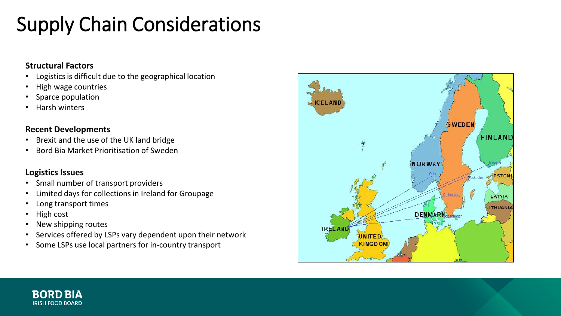# Supply Chain Considerations

#### **Structural Factors**

- Logistics is difficult due to the geographical location
- High wage countries
- Sparce population
- Harsh winters

#### **Recent Developments**

- Brexit and the use of the UK land bridge
- Bord Bia Market Prioritisation of Sweden

#### **Logistics Issues**

- Small number of transport providers
- Limited days for collections in Ireland for Groupage
- Long transport times
- High cost
- New shipping routes
- Services offered by LSPs vary dependent upon their network
- Some LSPs use local partners for in-country transport



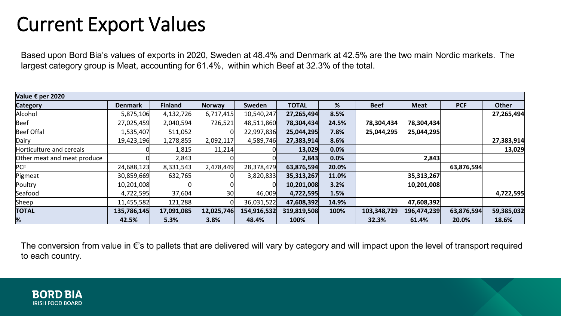### Current Export Values

Based upon Bord Bia's values of exports in 2020, Sweden at 48.4% and Denmark at 42.5% are the two main Nordic markets. The largest category group is Meat, accounting for 61.4%, within which Beef at 32.3% of the total.

| Value € per 2020            |                |                |            |             |              |       |             |             |            |            |  |  |  |
|-----------------------------|----------------|----------------|------------|-------------|--------------|-------|-------------|-------------|------------|------------|--|--|--|
| <b>Category</b>             | <b>Denmark</b> | <b>Finland</b> | Norway     | Sweden      | <b>TOTAL</b> | %     | <b>Beef</b> | <b>Meat</b> | <b>PCF</b> | Other      |  |  |  |
| Alcohol                     | 5,875,106      | 4,132,726      | 6,717,415  | 10,540,247  | 27,265,494   | 8.5%  |             |             |            | 27,265,494 |  |  |  |
| Beef                        | 27,025,459     | 2,040,594      | 726,521    | 48,511,860  | 78,304,434   | 24.5% | 78,304,434  | 78,304,434  |            |            |  |  |  |
| Beef Offal                  | 1,535,407      | 511,052        |            | 22,997,836  | 25,044,295   | 7.8%  | 25,044,295  | 25,044,295  |            |            |  |  |  |
| Dairy                       | 19,423,196     | 1,278,855      | 2,092,117  | 4,589,746   | 27,383,914   | 8.6%  |             |             |            | 27,383,914 |  |  |  |
| Horticulture and cereals    |                | 1,815          | 11,214     |             | 13,029       | 0.0%  |             |             |            | 13,029     |  |  |  |
| Other meat and meat produce |                | 2,843          |            |             | 2,843        | 0.0%  |             | 2,843       |            |            |  |  |  |
| <b>PCF</b>                  | 24,688,123     | 8,331,543      | 2,478,449  | 28,378,479  | 63,876,594   | 20.0% |             |             | 63,876,594 |            |  |  |  |
| Pigmeat                     | 30,859,669     | 632,765        |            | 3,820,833   | 35,313,267   | 11.0% |             | 35,313,267  |            |            |  |  |  |
| Poultry                     | 10,201,008     |                |            |             | 10,201,008   | 3.2%  |             | 10,201,008  |            |            |  |  |  |
| Seafood                     | 4,722,595      | 37,604         | 30         | 46,009      | 4,722,595    | 1.5%  |             |             |            | 4,722,595  |  |  |  |
| Sheep                       | 11,455,582     | 121,288        |            | 36,031,522  | 47,608,392   | 14.9% |             | 47,608,392  |            |            |  |  |  |
| <b>TOTAL</b>                | 135,786,145    | 17,091,085     | 12,025,746 | 154,916,532 | 319,819,508  | 100%  | 103,348,729 | 196,474,239 | 63,876,594 | 59,385,032 |  |  |  |
| %                           | 42.5%          | 5.3%           | 3.8%       | 48.4%       | 100%         |       | 32.3%       | 61.4%       | 20.0%      | 18.6%      |  |  |  |

The conversion from value in €'s to pallets that are delivered will vary by category and will impact upon the level of transport required to each country.

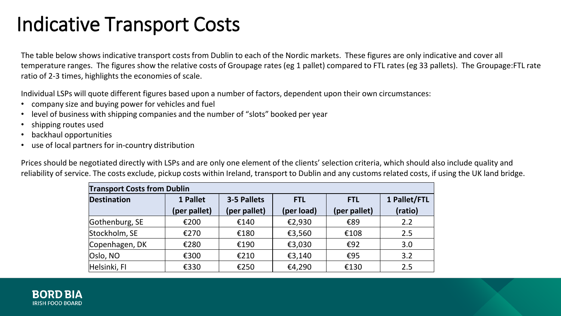### Indicative Transport Costs

The table below shows indicative transport costs from Dublin to each of the Nordic markets. These figures are only indicative and cover all temperature ranges. The figures show the relative costs of Groupage rates (eg 1 pallet) compared to FTL rates (eg 33 pallets). The Groupage:FTL rate ratio of 2-3 times, highlights the economies of scale.

Individual LSPs will quote different figures based upon a number of factors, dependent upon their own circumstances:

- company size and buying power for vehicles and fuel
- level of business with shipping companies and the number of "slots" booked per year
- shipping routes used
- backhaul opportunities
- use of local partners for in-country distribution

Prices should be negotiated directly with LSPs and are only one element of the clients' selection criteria, which should also include quality and reliability of service. The costs exclude, pickup costs within Ireland, transport to Dublin and any customs related costs, if using the UK land bridge.

| <b>Transport Costs from Dublin</b> |              |              |                          |              |              |  |  |  |  |  |  |
|------------------------------------|--------------|--------------|--------------------------|--------------|--------------|--|--|--|--|--|--|
| <b>Destination</b>                 | 1 Pallet     | 3-5 Pallets  | <b>FTL</b><br><b>FTL</b> |              | 1 Pallet/FTL |  |  |  |  |  |  |
|                                    | (per pallet) | (per pallet) | (per load)               | (per pallet) | (ratio)      |  |  |  |  |  |  |
| Gothenburg, SE                     | €200         | €140         | €2,930                   | €89          | 2.2          |  |  |  |  |  |  |
| Stockholm, SE                      | €270         | €180         | €3,560                   | €108         | 2.5          |  |  |  |  |  |  |
| Copenhagen, DK                     | €280         | €190         | €3,030                   | €92          | 3.0          |  |  |  |  |  |  |
| Oslo, NO                           | €300         | €210         | €3,140                   | €95          | 3.2          |  |  |  |  |  |  |
| Helsinki, FI                       | €330         | €250         | €4,290                   | €130         | 2.5          |  |  |  |  |  |  |

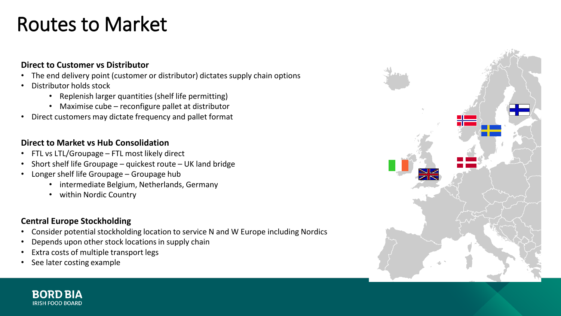### Routes to Market

#### **Direct to Customer vs Distributor**

- The end delivery point (customer or distributor) dictates supply chain options
- Distributor holds stock
	- Replenish larger quantities (shelf life permitting)
	- Maximise cube reconfigure pallet at distributor
- Direct customers may dictate frequency and pallet format

#### **Direct to Market vs Hub Consolidation**

- FTL vs LTL/Groupage FTL most likely direct
- Short shelf life Groupage quickest route UK land bridge
- Longer shelf life Groupage Groupage hub
	- intermediate Belgium, Netherlands, Germany
	- within Nordic Country

#### **Central Europe Stockholding**

- Consider potential stockholding location to service N and W Europe including Nordics
- Depends upon other stock locations in supply chain
- Extra costs of multiple transport legs
- See later costing example



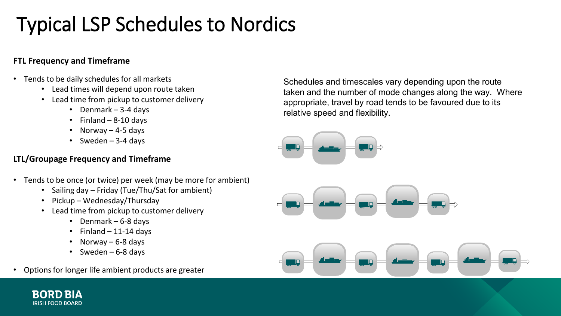# Typical LSP Schedules to Nordics

#### **FTL Frequency and Timeframe**

- Tends to be daily schedules for all markets
	- Lead times will depend upon route taken
	- Lead time from pickup to customer delivery
		- Denmark 3-4 days
		- $\cdot$  Finland 8-10 days
		- Norway 4-5 days
		- Sweden  $-3-4$  days

#### **LTL/Groupage Frequency and Timeframe**

- Tends to be once (or twice) per week (may be more for ambient)
	- Sailing day Friday (Tue/Thu/Sat for ambient)
	- Pickup Wednesday/Thursday
	- Lead time from pickup to customer delivery
		- Denmark 6-8 days
		- $\cdot$  Finland 11-14 days
		- Norway 6-8 days
		- Sweden 6-8 days
- Options for longer life ambient products are greater

IRISH FOOD BOARD

Schedules and timescales vary depending upon the route taken and the number of mode changes along the way. Where appropriate, travel by road tends to be favoured due to its relative speed and flexibility.





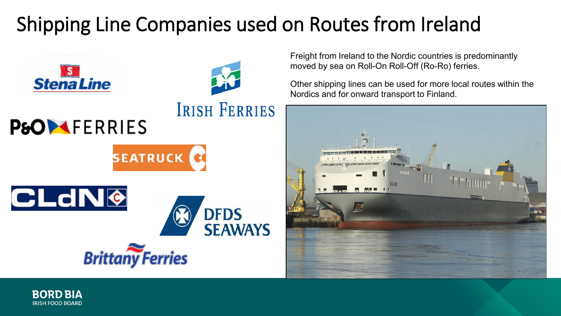# Shipping Line Companies used on Routes from Ireland



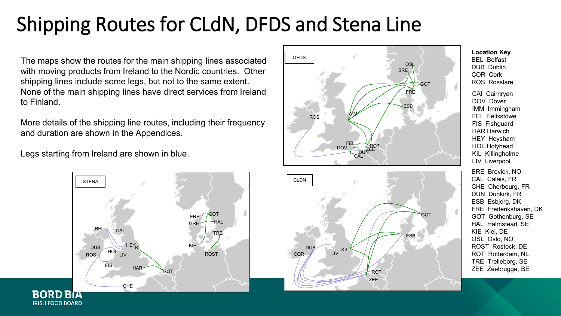# Shipping Routes for CLdN, DFDS and Stena Line

The maps show the routes for the main shipping lines associated with moving products from Ireland to the Nordic countries. Other shipping lines include some legs, but not to the same extent. None of the main shipping lines have direct services from Ireland to Finland.

More details of the shipping line routes, including their frequency and duration are shown in the Appendices.

Legs starting from Ireland are shown in blue.





**Location Key** BEL Belfast DUB Dublin COR Cork ROS Rosslare CAI Cairnryan DOV Dover IMM Immingham FEL Felixstowe FIS Fishguard HAR Harwich HEY Heysham HOL Holyhead KIL Killingholme LIV Liverpool BRE Brevick, NO CAL Calais, FR CHE Cherbourg, FR DUN Dunkirk, FR ESB Esbjerg, DK FRE Frederikshaven, DK GOT Gothenburg, SE HAL Halmstead, SE KIE Kiel, DE OSL Oslo, NO ROST Rostock, DE ROT Rotterdam, NL TRE Trelleborg, SE ZEE Zeebrugge, BE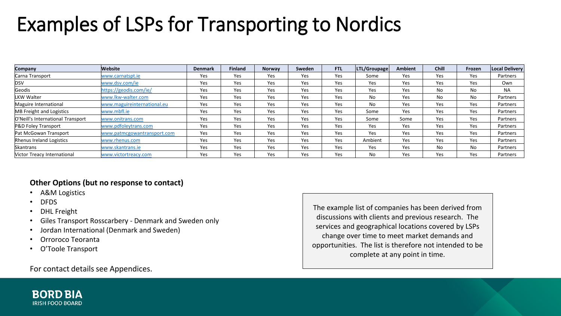## Examples of LSPs for Transporting to Nordics

| Company                            | Website                     | <b>Denmark</b> | <b>Finland</b> | <b>Norway</b> | Sweden | <b>FTL</b> | LTL/Groupage | <b>Ambient</b> | <b>Chill</b> | Frozen | Local Delivery |
|------------------------------------|-----------------------------|----------------|----------------|---------------|--------|------------|--------------|----------------|--------------|--------|----------------|
| Carna Transport                    | www.carnatspt.ie            | Yes            | Yes            | Yes           | Yes    | Yes        | Some         | Yes            | Yes          | Yes    | Partners       |
| <b>DSV</b>                         | www.dsv.com/ie              | Yes            | Yes            | Yes           | Yes    | Yes        | Yes          | Yes            | Yes          | Yes    | Own            |
| Geodis                             | https://geodis.com/ie/      | Yes            | Yes            | Yes           | Yes    | Yes        | Yes          | Yes            | No           | No     | <b>NA</b>      |
| LKW Walter                         | www.lkw-walter.com          | Yes            | Yes            | Yes           | Yes    | Yes        | No           | Yes            | No           | No     | Partners       |
| Maguire International              | www.maguireinternational.eu | Yes            | Yes            | Yes           | Yes    | Yes        | No           | Yes            | Yes          | Yes    | Partners       |
| MB Freight and Logistics           | www.mbfl.ie                 | Yes            | Yes            | Yes           | Yes    | Yes        | Some         | Yes            | Yes          | Yes    | Partners       |
| O'Neill's International Transport  | www.onitrans.com            | Yes            | Yes            | Yes           | Yes    | Yes        | Some         | Some           | Yes          | Yes    | Partners       |
| P&D Foley Transport                | www.pdfoleytrans.com        | Yes            | Yes            | Yes           | Yes    | Yes        | Yes          | Yes            | Yes          | Yes    | Partners       |
| Pat McGowan Transport              | www.patmcgowantransport.com | Yes            | Yes            | Yes           | Yes    | Yes        | Yes          | Yes            | Yes          | Yes    | Partners       |
| Rhenus Ireland Logistics           | www.rhenus.com              | Yes            | Yes            | Yes           | Yes    | Yes        | Ambient      | Yes            | Yes          | Yes    | Partners       |
| Skantrans                          | www.skantrans.ie            | Yes            | Yes            | Yes           | Yes    | Yes        | Yes          | Yes            | No           | No     | Partners       |
| <b>Nictor Treacy International</b> | www.victortreacy.com        | Yes            | Yes            | Yes           | Yes    | Yes        | No           | Yes            | Yes          | Yes    | Partners       |

#### **Other Options (but no response to contact)**

- A&M Logistics
- DFDS
- **DHL** Freight
- Giles Transport Rosscarbery Denmark and Sweden only
- Jordan International (Denmark and Sweden)
- Orroroco Teoranta
- O'Toole Transport

For contact details see Appendices.

The example list of companies has been derived from discussions with clients and previous research. The services and geographical locations covered by LSPs change over time to meet market demands and opportunities. The list is therefore not intended to be complete at any point in time.

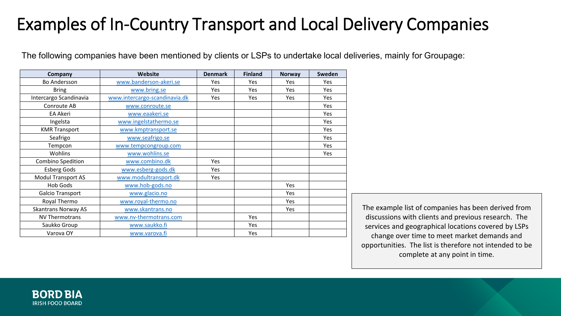### Examples of In-Country Transport and Local Delivery Companies

The following companies have been mentioned by clients or LSPs to undertake local deliveries, mainly for Groupage:

| Company                    | Website                       | <b>Denmark</b> | <b>Finland</b> | Norway | Sweden |
|----------------------------|-------------------------------|----------------|----------------|--------|--------|
| <b>Bo Andersson</b>        | www.banderson-akeri.se        | Yes            | Yes            | Yes    | Yes    |
| <b>Bring</b>               | www.bring.se                  | Yes            | Yes            | Yes    | Yes    |
| Intercargo Scandinavia     | www.intercargo-scandinavia.dk | Yes            | Yes            | Yes    | Yes    |
| Conroute AB                | www.conroute.se               |                |                |        | Yes    |
| <b>EA Akeri</b>            | www.eaakeri.se                |                |                |        | Yes    |
| Ingelsta                   | www.ingelstathermo.se         |                |                |        | Yes    |
| <b>KMR Transport</b>       | www.kmptransport.se           |                |                |        | Yes    |
| Seafrigo                   | www.seafrigo.se               |                |                |        | Yes    |
| Tempcon                    | www.tempcongroup.com          |                |                |        | Yes    |
| Wohlins                    | www.wohlins.se                |                |                |        | Yes    |
| Combino Spedition          | www.combino.dk                | Yes            |                |        |        |
| <b>Esberg Gods</b>         | www.esberg-gods.dk            | Yes            |                |        |        |
| <b>Modul Transport AS</b>  | www.modultransport.dk         | Yes            |                |        |        |
| <b>Hob Gods</b>            | www.hob-gods.no               |                |                | Yes    |        |
| Galcio Transport           | www.glacio.no                 |                |                | Yes    |        |
| Royal Thermo               | www.royal-thermo.no           |                |                | Yes    |        |
| <b>Skantrans Norway AS</b> | www.skantrans.no              |                |                | Yes    |        |
| <b>NV Thermotrans</b>      | www.nv-thermotrans.com        |                | Yes            |        |        |
| Saukko Group               | www.saukko.fi                 |                | Yes            |        |        |
| Varova OY                  | www.varova.fi                 |                | Yes            |        |        |

The example list of companies has been derived from discussions with clients and previous research. The services and geographical locations covered by LSPs change over time to meet market demands and opportunities. The list is therefore not intended to be complete at any point in time.

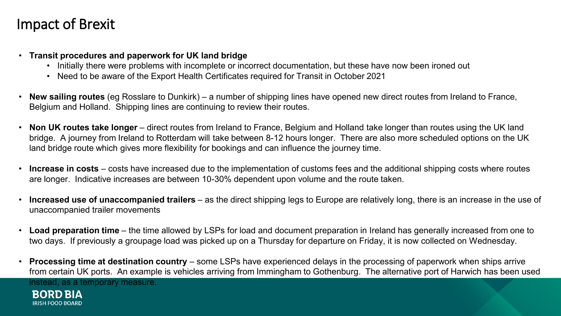### Impact of Brexit

- **Transit procedures and paperwork for UK land bridge**
	- Initially there were problems with incomplete or incorrect documentation, but these have now been ironed out
	- Need to be aware of the Export Health Certificates required for Transit in October 2021
- **New sailing routes** (eg Rosslare to Dunkirk) a number of shipping lines have opened new direct routes from Ireland to France, Belgium and Holland. Shipping lines are continuing to review their routes.
- **Non UK routes take longer**  direct routes from Ireland to France, Belgium and Holland take longer than routes using the UK land bridge. A journey from Ireland to Rotterdam will take between 8-12 hours longer. There are also more scheduled options on the UK land bridge route which gives more flexibility for bookings and can influence the journey time.
- **Increase in costs**  costs have increased due to the implementation of customs fees and the additional shipping costs where routes are longer. Indicative increases are between 10-30% dependent upon volume and the route taken.
- **Increased use of unaccompanied trailers**  as the direct shipping legs to Europe are relatively long, there is an increase in the use of unaccompanied trailer movements
- **Load preparation time**  the time allowed by LSPs for load and document preparation in Ireland has generally increased from one to two days. If previously a groupage load was picked up on a Thursday for departure on Friday, it is now collected on Wednesday.
- **Processing time at destination country**  some LSPs have experienced delays in the processing of paperwork when ships arrive from certain UK ports. An example is vehicles arriving from Immingham to Gothenburg. The alternative port of Harwich has been used instead, as a temporary measure.**BORD BIA**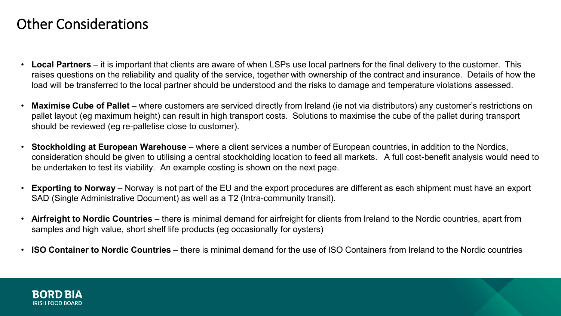### Other Considerations

- **Local Partners**  it is important that clients are aware of when LSPs use local partners for the final delivery to the customer. This raises questions on the reliability and quality of the service, together with ownership of the contract and insurance. Details of how the load will be transferred to the local partner should be understood and the risks to damage and temperature violations assessed.
- **Maximise Cube of Pallet** where customers are serviced directly from Ireland (ie not via distributors) any customer's restrictions on pallet layout (eg maximum height) can result in high transport costs. Solutions to maximise the cube of the pallet during transport should be reviewed (eg re-palletise close to customer).
- **Stockholding at European Warehouse**  where a client services a number of European countries, in addition to the Nordics, consideration should be given to utilising a central stockholding location to feed all markets. A full cost-benefit analysis would need to be undertaken to test its viability. An example costing is shown on the next page.
- **Exporting to Norway**  Norway is not part of the EU and the export procedures are different as each shipment must have an export SAD (Single Administrative Document) as well as a T2 (Intra-community transit).
- **Airfreight to Nordic Countries**  there is minimal demand for airfreight for clients from Ireland to the Nordic countries, apart from samples and high value, short shelf life products (eg occasionally for oysters)
- **ISO Container to Nordic Countries**  there is minimal demand for the use of ISO Containers from Ireland to the Nordic countries

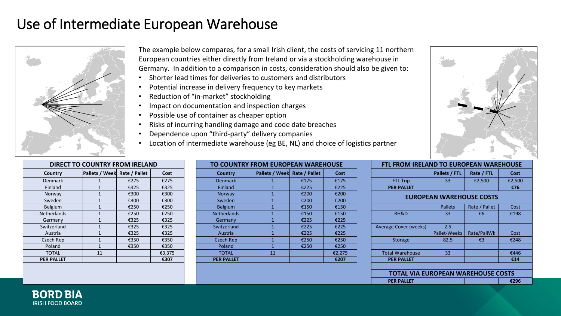### Use of Intermediate European Warehouse



The example below compares, for a small Irish client, the costs of servicing 11 northern European countries either directly from Ireland or via a stockholding warehouse in Germany. In addition to a comparison in costs, consideration should also be given to:

- Shorter lead times for deliveries to customers and distributors
- Potential increase in delivery frequency to key markets
- Reduction of "in-market" stockholding
- Impact on documentation and inspection charges
- Possible use of container as cheaper option
- Risks of incurring handling damage and code date breaches
- Dependence upon "third-party" delivery companies
- Location of intermediate warehouse (eg BE, NL) and choice of logistics partner

| <b>DIRECT TO COUNTRY FROM IRELAND</b> |                              |      |        |  |  |  |  |  |  |  |
|---------------------------------------|------------------------------|------|--------|--|--|--|--|--|--|--|
| Country                               | Pallets / Week Rate / Pallet |      | Cost   |  |  |  |  |  |  |  |
| <b>Denmark</b>                        | 1                            | €275 | €275   |  |  |  |  |  |  |  |
| Finland                               | $\overline{1}$               | €325 | €325   |  |  |  |  |  |  |  |
| Norway                                | $\mathbf{1}$                 | €300 | €300   |  |  |  |  |  |  |  |
| Sweden                                | $\overline{1}$               | €300 | €300   |  |  |  |  |  |  |  |
| <b>Belgium</b>                        | $\overline{1}$               | €250 | €250   |  |  |  |  |  |  |  |
| Netherlands                           | $\mathbf{1}$                 | €250 | €250   |  |  |  |  |  |  |  |
| Germany                               | $\overline{1}$               | €325 | €325   |  |  |  |  |  |  |  |
| Switzerland                           | 1                            | €325 | €325   |  |  |  |  |  |  |  |
| Austria                               | $\mathbf{1}$                 | €325 | €325   |  |  |  |  |  |  |  |
| Czech Rep                             | $\mathbf{1}$                 | €350 | €350   |  |  |  |  |  |  |  |
| Poland                                | 1                            | €350 | €350   |  |  |  |  |  |  |  |
| <b>TOTAL</b>                          | 11                           |      | €3,375 |  |  |  |  |  |  |  |
| <b>PER PALLET</b>                     |                              |      | €307   |  |  |  |  |  |  |  |

|                   | DIRECT TO COUNTRY FROM IRELAND |      |        | TO COUNTRY FROM EUROPEAN WAREHOUSE |                                     |      |        |  | <b>FTL FROM IRELAND TO EUROPEAN WAREHOUSE</b> |               |               |        |  |
|-------------------|--------------------------------|------|--------|------------------------------------|-------------------------------------|------|--------|--|-----------------------------------------------|---------------|---------------|--------|--|
| Country           | Pallets / Week Rate / Pallet   |      | Cost   | <b>Country</b>                     | <b>Pallets / Week Rate / Pallet</b> |      | Cost   |  |                                               | Pallets / FTL | Rate / FTL    | Cost   |  |
| Denmark           |                                | €275 | €275   | <b>Denmark</b>                     |                                     | €175 | €175   |  | <b>FTL Trip</b>                               | 33            | €2,500        | €2,500 |  |
| Finland           |                                | €325 | €325   | Finland                            |                                     | €225 | €225   |  | <b>PER PALLET</b>                             |               |               | €76    |  |
| Norway            |                                | €300 | €300   | Norway                             |                                     | €200 | €200   |  |                                               |               |               |        |  |
| Sweden            |                                | €300 | €300   | Sweden                             |                                     | €200 | €200   |  | <b>EUROPEAN WAREHOUSE COSTS</b>               |               |               |        |  |
| Belgium           |                                | €250 | €250   | Belgium                            |                                     | €150 | €150   |  |                                               | Pallets       | Rate / Pallet | Cost   |  |
| Netherlands       |                                | €250 | €250   | <b>Netherlands</b>                 |                                     | €150 | €150   |  | RH&D                                          | 33            | €6            | €198   |  |
| Germany           |                                | €325 | €325   | Germany                            |                                     | €225 | €225   |  |                                               |               |               |        |  |
| Switzerland       |                                | €325 | €325   | Switzerland                        |                                     | €225 | €225   |  | <b>Average Cover (weeks)</b>                  | 2.5           |               |        |  |
| Austria           |                                | €325 | €325   | Austria                            |                                     | €225 | €225   |  |                                               | Pallet-Weeks  | Rate/PallWk   | Cost   |  |
| Czech Rep         |                                | €350 | €350   | <b>Czech Rep</b>                   |                                     | €250 | €250   |  | Storage                                       | 82.5          | €3            | €248   |  |
| Poland            |                                | €350 | €350   | Poland                             |                                     | €250 | €250   |  |                                               |               |               |        |  |
| <b>TOTAL</b>      | 11                             |      | €3,375 | <b>TOTAL</b>                       | 11                                  |      | €2,275 |  | <b>Total Warehouse</b>                        | 33            |               | €446   |  |
| <b>PER PALLET</b> |                                |      | €307   | <b>PER PALLET</b>                  |                                     |      | €207   |  | <b>PER PALLET</b>                             |               |               | €14    |  |
|                   |                                |      |        |                                    |                                     |      |        |  |                                               |               |               |        |  |



| FTL FROM IRELAND TO EUROPEAN WAREHOUSE |                     |               |        |  |  |  |  |  |  |  |
|----------------------------------------|---------------------|---------------|--------|--|--|--|--|--|--|--|
|                                        | Pallets / FTL       | Rate / FTL    | Cost   |  |  |  |  |  |  |  |
| <b>FTL Trip</b>                        | 33                  | €2,500        | €2,500 |  |  |  |  |  |  |  |
| <b>PER PALLET</b>                      |                     |               | €76    |  |  |  |  |  |  |  |
| <b>EUROPEAN WAREHOUSE COSTS</b>        |                     |               |        |  |  |  |  |  |  |  |
|                                        | <b>Pallets</b>      | Rate / Pallet | Cost   |  |  |  |  |  |  |  |
| RH&D                                   | 33                  | €6            | €198   |  |  |  |  |  |  |  |
|                                        |                     |               |        |  |  |  |  |  |  |  |
| <b>Average Cover (weeks)</b>           | 2.5                 |               |        |  |  |  |  |  |  |  |
|                                        | <b>Pallet-Weeks</b> | Rate/PallWk   | Cost   |  |  |  |  |  |  |  |
| <b>Storage</b>                         | 82.5                | €3            | €248   |  |  |  |  |  |  |  |
|                                        |                     |               |        |  |  |  |  |  |  |  |
| <b>Total Warehouse</b>                 | 33                  |               | €446   |  |  |  |  |  |  |  |
| <b>PER PALLET</b>                      |                     |               | €14    |  |  |  |  |  |  |  |
|                                        |                     |               |        |  |  |  |  |  |  |  |
| TOTAL VIA EUROPEAN WAREHOUSE COSTS     |                     |               |        |  |  |  |  |  |  |  |
| <b>PER PALLET</b>                      |                     |               | €296   |  |  |  |  |  |  |  |
|                                        |                     |               |        |  |  |  |  |  |  |  |

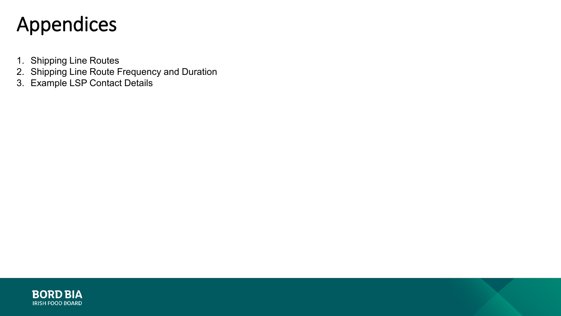## Appendices

- 1. Shipping Line Routes
- 2. Shipping Line Route Frequency and Duration
- 3. Example LSP Contact Details

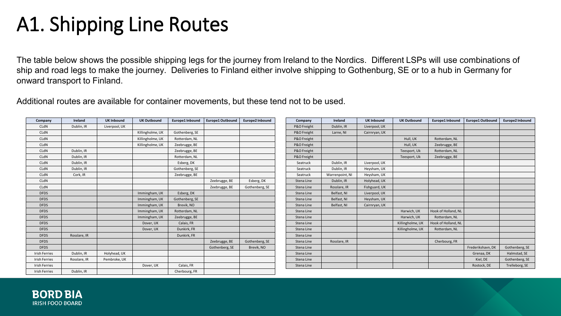## A1. Shipping Line Routes

The table below shows the possible shipping legs for the journey from Ireland to the Nordics. Different LSPs will use combinations of ship and road legs to make the journey. Deliveries to Finland either involve shipping to Gothenburg, SE or to a hub in Germany for onward transport to Finland.

Additional routes are available for container movements, but these tend not to be used.

| Company              | Ireland      | <b>UK Inbound</b> | <b>UK Outbound</b> | Europe1 Inbound | <b>Europe1 Outbound</b> | Europe2 Inbound | Company     | Ireland         | <b>UK Inbound</b> | <b>UK Outbound</b> | Europe1 Inbound     | Europe1 Outbound  | Europe2 Inbound |
|----------------------|--------------|-------------------|--------------------|-----------------|-------------------------|-----------------|-------------|-----------------|-------------------|--------------------|---------------------|-------------------|-----------------|
| CLdN                 | Dublin, IR   | Liverpool, UK     |                    |                 |                         |                 | P&O Freight | Dublin, IR      | Liverpool, UK     |                    |                     |                   |                 |
| CLdN                 |              |                   | Killingholme, UK   | Gothenberg, SE  |                         |                 | P&O Freight | Larne, NI       | Cairnryan, UK     |                    |                     |                   |                 |
| CLdN                 |              |                   | Killingholme, UK   | Rotterdam, NL   |                         |                 | P&O Freight |                 |                   | Hull, UK           | Rotterdam, NL       |                   |                 |
| CLdN                 |              |                   | Killingholme, UK   | Zeebrugge, BE   |                         |                 | P&O Freight |                 |                   | Hull, UK           | Zeebrugge, BE       |                   |                 |
| CLdN                 | Dublin, IR   |                   |                    | Zeebrugge, BE   |                         |                 | P&O Freight |                 |                   | Teesport, Uk       | Rotterdam, NL       |                   |                 |
| CLdN                 | Dublin, IR   |                   |                    | Rotterdam, NL   |                         |                 | P&O Freight |                 |                   | Teesport, Uk       | Zeebrugge, BE       |                   |                 |
| CLdN                 | Dublin, IR   |                   |                    | Esberg, DK      |                         |                 | Seatruck    | Dublin, IR      | Liverpool, UK     |                    |                     |                   |                 |
| CLdN                 | Dublin, IR   |                   |                    | Gothenberg, SE  |                         |                 | Seatruck    | Dublin, IR      | Heysham, UK       |                    |                     |                   |                 |
| CLdN                 | Cork, IR     |                   |                    | Zeebrugge, BE   |                         |                 | Seatruck    | Warrenpoint, NI | Heysham, UK       |                    |                     |                   |                 |
| CLdN                 |              |                   |                    |                 | Zeebrugge, BE           | Esberg, DK      | Stena Line  | Dublin, IR      | Holyhead, UK      |                    |                     |                   |                 |
| CLdN                 |              |                   |                    |                 | Zeebrugge, BE           | Gothenberg, SE  | Stena Line  | Rosslare, IR    | Fishguard, UK     |                    |                     |                   |                 |
| <b>DFDS</b>          |              |                   | Immingham, UK      | Esberg, DK      |                         |                 | Stena Line  | Belfast, NI     | Liverpool, UK     |                    |                     |                   |                 |
| <b>DFDS</b>          |              |                   | Immingham, UK      | Gothenberg, SE  |                         |                 | Stena Line  | Belfast, NI     | Heysham, UK       |                    |                     |                   |                 |
| <b>DFDS</b>          |              |                   | Immingham, UK      | Brevik, NO      |                         |                 | Stena Line  | Belfast, NI     | Cairnryan, UK     |                    |                     |                   |                 |
| <b>DFDS</b>          |              |                   | Immingham, UK      | Rotterdam, NL   |                         |                 | Stena Line  |                 |                   | Harwich, UK        | Hook of Holland, NL |                   |                 |
| <b>DFDS</b>          |              |                   | Immingham, UK      | Zeebrugge, BE   |                         |                 | Stena Line  |                 |                   | Harwich, UK        | Rotterdam, NL       |                   |                 |
| <b>DFDS</b>          |              |                   | Dover, UK          | Calais, FR      |                         |                 | Stena Line  |                 |                   | Killingholme, UK   | Hook of Holland, NL |                   |                 |
| <b>DFDS</b>          |              |                   | Dover, UK          | Dunkirk, FR     |                         |                 | Stena Line  |                 |                   | Killingholme, UK   | Rotterdam, NL       |                   |                 |
| <b>DFDS</b>          | Rosslare, IR |                   |                    | Dunkirk, FR     |                         |                 | Stena Line  |                 |                   |                    |                     |                   |                 |
| <b>DFDS</b>          |              |                   |                    |                 | Zeebrugge, BE           | Gothenberg, SE  | Stena Line  | Rosslare, IR    |                   |                    | Cherbourg, FR       |                   |                 |
| <b>DFDS</b>          |              |                   |                    |                 | Gothenberg, SE          | Brevik, NO      | Stena Line  |                 |                   |                    |                     | Frederikshavn, DK | Gothenberg, SE  |
| <b>Irish Ferries</b> | Dublin, IR   | Holyhead, UK      |                    |                 |                         |                 | Stena Line  |                 |                   |                    |                     | Grenaa, DK        | Halmstad, SE    |
| <b>Irish Ferries</b> | Rosslare, IR | Pembroke, UK      |                    |                 |                         |                 | Stena Line  |                 |                   |                    |                     | Kiel, DE          | Gothenberg, SE  |
| <b>Irish Ferries</b> |              |                   | Dover, UK          | Calais, FR      |                         |                 | Stena Line  |                 |                   |                    |                     | Rostock, DE       | Trelleborg, SE  |
| <b>Irish Ferries</b> | Dublin, IR   |                   |                    | Cherbourg, FR   |                         |                 |             |                 |                   |                    |                     |                   |                 |

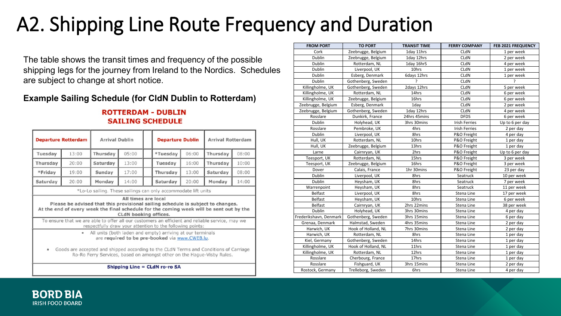# A2. Shipping Line Route Frequency and Duration

The table shows the transit times and frequency of the possible shipping legs for the journey from Ireland to the Nordics. Schedules are subject to change at short notice.

#### **Example Sailing Schedule (for CldN Dublin to Rotterdam)**

#### **ROTTERDAM - DUBLIN SAILING SCHEDULE**

| <b>Departure Rotterdam</b>                                                                                                                                                                                                                                                                                                                                     |       | <b>Arrival Dublin</b> |                       |  | <b>Departure Dublin</b>                                                                                                                                                                    |       | <b>Arrival Rotterdam</b> |       |  |
|----------------------------------------------------------------------------------------------------------------------------------------------------------------------------------------------------------------------------------------------------------------------------------------------------------------------------------------------------------------|-------|-----------------------|-----------------------|--|--------------------------------------------------------------------------------------------------------------------------------------------------------------------------------------------|-------|--------------------------|-------|--|
| Tuesday                                                                                                                                                                                                                                                                                                                                                        | 13:00 | Thursday              | 05:00                 |  | *Tuesday                                                                                                                                                                                   | 06:00 | Thursday                 | 08:00 |  |
| Thursday                                                                                                                                                                                                                                                                                                                                                       | 20:00 | Saturday              | 13:00                 |  | Tuesday                                                                                                                                                                                    | 16:00 | Thursday                 | 10:00 |  |
| *Friday                                                                                                                                                                                                                                                                                                                                                        | 19:00 | Sunday                | 17:00                 |  | Thursday                                                                                                                                                                                   | 13:00 | Saturday                 | 08:00 |  |
| Saturday                                                                                                                                                                                                                                                                                                                                                       | 20:00 | Monday                | 14:00                 |  | Saturday                                                                                                                                                                                   | 20:00 | Monday                   | 14:00 |  |
|                                                                                                                                                                                                                                                                                                                                                                |       |                       | CLdN booking offices. |  | At the end of every week the final schedule for the coming week will be sent out by the<br>To ensure that we are able to offer all our customers an efficient and reliable service, may we |       |                          |       |  |
| respectfully draw your attention to the following points:<br>All units (both laden and empty) arriving at our terminals<br>$\bullet$<br>are required to be pre-booked via www.CWEB.lu.<br>Goods are accepted and shipped according to the CLdN Terms and Conditions of Carriage<br>٠<br>Ro-Ro Ferry Services, based on amongst other on the Hague-Visby Rules. |       |                       |                       |  |                                                                                                                                                                                            |       |                          |       |  |
| Shipping Line = CLdN ro-ro SA                                                                                                                                                                                                                                                                                                                                  |       |                       |                       |  |                                                                                                                                                                                            |       |                          |       |  |

| <b>FROM PORT</b>       | <b>TO PORT</b>      | <b>TRANSIT TIME</b> | <b>FERRY COMPANY</b> | <b>FEB 2021 FREQUENCY</b> |
|------------------------|---------------------|---------------------|----------------------|---------------------------|
| Cork                   | Zeebrugge, Belgium  | 1day 11hrs          | CLdN                 | 1 per week                |
| Dublin                 | Zeebrugge, Belgium  | 1day 12hrs          | CLdN                 | 2 per week                |
| Dublin                 | Rotterdam, NL       | 1day 16hrS          | CLdN                 | 4 per week                |
| Dublin                 | Liverpool, UK       | 10hrs               | CLdN                 | 1 per week                |
| Dublin                 | Esberg, Denmark     | 6days 12hrs         | CLdN                 | 1 per week                |
| Dublin                 | Gothenberg, Sweden  | <sup>2</sup>        | CLdN                 | ʻ.                        |
| Killingholme, UK       | Gothenberg, Sweden  | 2days 12hrs         | CLdN                 | 5 per week                |
| Killingholme, UK       | Rotterdam, NL       | 14hrs               | CLdN                 | 6 per week                |
| Killingholme, UK       | Zeebrugge, Belgium  | 16hrs               | CLdN                 | 6 per week                |
| Zeebrugge, Belgium     | Esberg, Denmark     | 1day                | CLdN                 | 2 per week                |
| Zeebrugge, Belgium     | Gothenberg, Sweden  | 1day 12hrs          | CLdN                 | 4 per week                |
| Rosslare               | Dunkirk, France     | 24hrs 45mins        | <b>DFDS</b>          | 6 per week                |
| Dublin                 | Holyhead, UK        | 3hrs 30mins         | <b>Irish Ferries</b> | Up to 6 per day           |
| Rosslare               | Pembroke, UK        | 4hrs                | <b>Irish Ferries</b> | 2 per day                 |
| Dublin                 | Liverpool, UK       | 8hrs                | P&O Freight          | 4 per day                 |
| Hull, UK               | Rotterdam, NL       | 10hrs               | P&O Freight          | 1 per day                 |
| Hull, UK               | Zeebrugge, Belgium  | 13hrs               | P&O Freight          | 1 per day                 |
| Larne                  | Cairnryan, UK       | 2hrs                | P&O Freight          | Up to 6 per day           |
| Teesport, UK           | Rotterdam, NL       | 15hrs               | P&O Freight          | 3 per week                |
| Teesport, UK           | Zeebrugge, Belgium  | 16hrs               | P&O Freight          | 3 per week                |
| Dover                  | Calais, France      | 1hr 30mins          | P&O Freight          | 23 per day                |
| Dublin                 | Liverpool, UK       | 8hrs                | Seatruck             | 10 per week               |
| Dublin                 | Heysham, UK         | 8hrs                | Seatruck             | 7 per week                |
| Warrenpoint            | Heysham, UK         | 8hrs                | Seatruck             | 11 per week               |
| Belfast                | Liverpool, UK       | 8hrs                | Stena Line           | 17 per week               |
| Belfast                | Heysham, UK         | 10hrs               | Stena Line           | 6 per week                |
| Belfast                | Cairnryan, UK       | 2hrs 22mins         | Stena Line           | 38 per week               |
| Dublin                 | Holyhead, UK        | 3hrs 30mins         | Stena Line           | 4 per day                 |
| Frederikshavn, Denmark | Gothenberg, Sweden  | 3hrs 15mins         | Stena Line           | 6 per day                 |
| Grenaa, Denmark        | Halmstad, Sweden    | 4hrs 35mins         | Stena Line           | 2 per day                 |
| Harwich, UK            | Hook of Holland, NL | 7hrs 30mins         | Stena Line           | 2 per day                 |
| Harwich, UK            | Rotterdam, NL       | 8hrs                | Stena Line           | 1 per day                 |
| Kiel, Germany          | Gothenberg, Sweden  | 14hrs               | Stena Line           | 1 per day                 |
| Killingholme, UK       | Hook of Holland, NL | 11hrs               | Stena Line           | 1 per day                 |
| Killingholme, UK       | Rotterdam, NL       | 12hrs               | Stena Line           | 1 per day                 |
| Rosslare               | Cherbourg, France   | 17hrs               | Stena Line           | 1 per day                 |
| Rosslare               | Fishguard, UK       | 3hrs 15mins         | Stena Line           | 2 per day                 |
| Rostock, Germany       | Trelleborg, Sweden  | 6hrs                | Stena Line           | 4 per day                 |